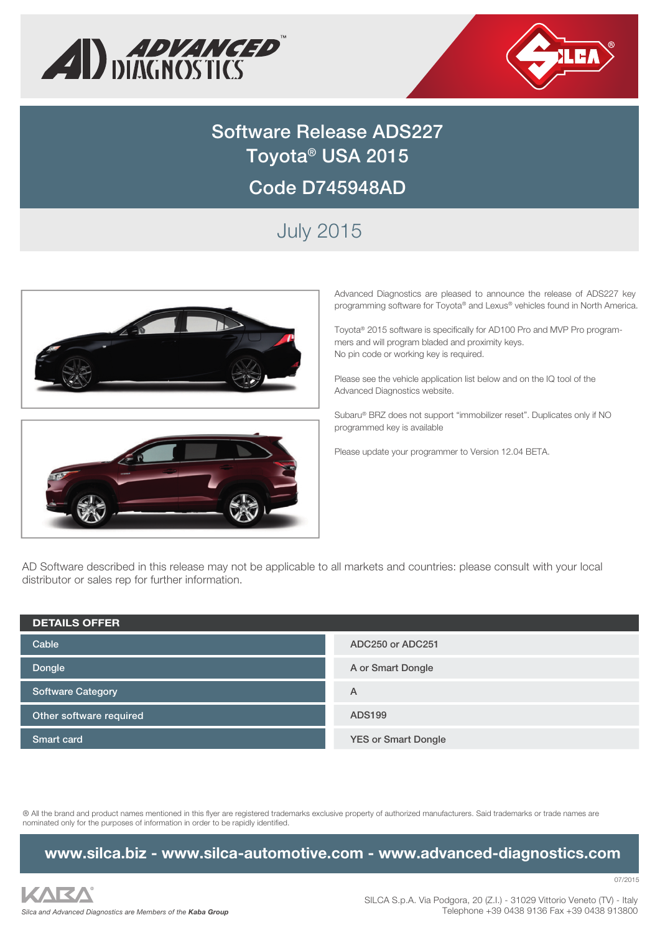



# **Software Release ADS227 Toyota® USA 2015 Code D745948AD**

## July 2015





Advanced Diagnostics are pleased to announce the release of ADS227 key programming software for Toyota® and Lexus® vehicles found in North America.

Toyota® 2015 software is specifically for AD100 Pro and MVP Pro programmers and will program bladed and proximity keys. No pin code or working key is required.

Please see the vehicle application list below and on the IQ tool of the Advanced Diagnostics website.

Subaru® BRZ does not support "immobilizer reset". Duplicates only if NO programmed key is available

Please update your programmer to Version 12.04 BETA.

AD Software described in this release may not be applicable to all markets and countries: please consult with your local distributor or sales rep for further information.

| <b>DETAILS OFFER</b>     |                            |
|--------------------------|----------------------------|
| Cable                    | ADC250 or ADC251           |
| Dongle                   | A or Smart Dongle          |
| <b>Software Category</b> | Α                          |
| Other software required  | <b>ADS199</b>              |
| <b>Smart card</b>        | <b>YES or Smart Dongle</b> |

® All the brand and product names mentioned in this flyer are registered trademarks exclusive property of authorized manufacturers. Said trademarks or trade names are nominated only for the purposes of information in order to be rapidly identified.

**www.silca.biz - www.silca-automotive.com - www.advanced-diagnostics.com**



07/2015